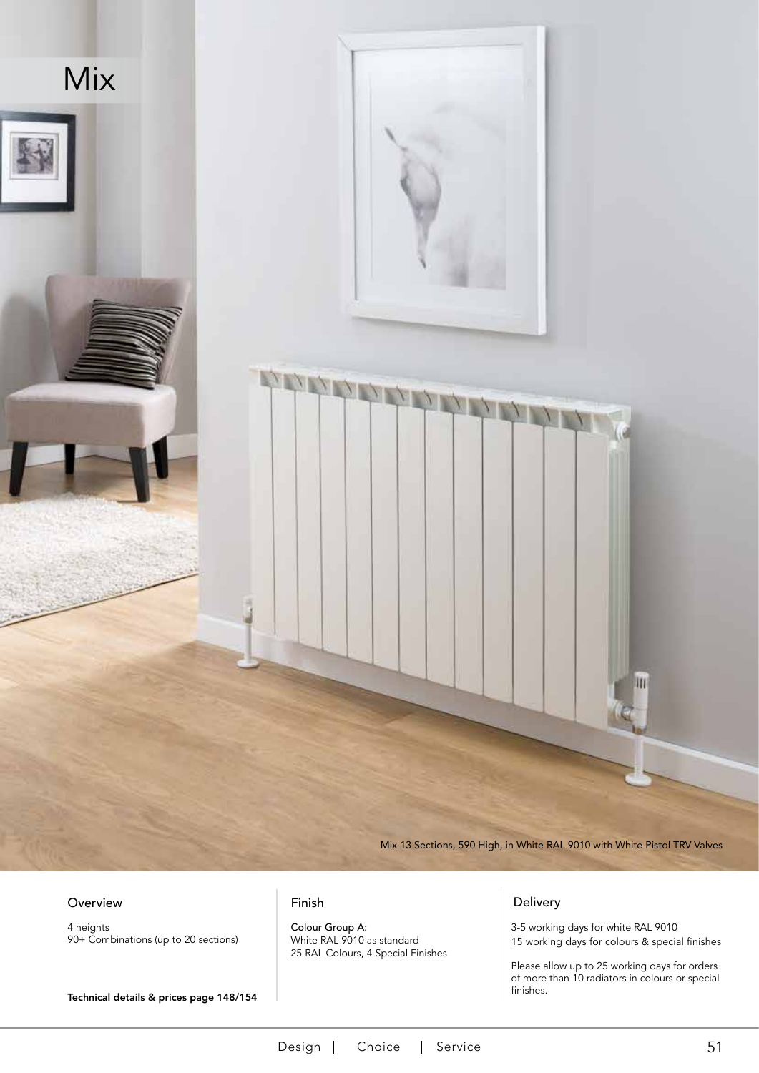

4 heights 90+ Combinations (up to 20 sections)

Technical details & prices page 148/154

Colour Group A: White RAL 9010 as standard 25 RAL Colours, 4 Special Finishes

3-5 working days for white RAL 9010 15 working days for colours & special finishes

Please allow up to 25 working days for orders of more than 10 radiators in colours or special finishes.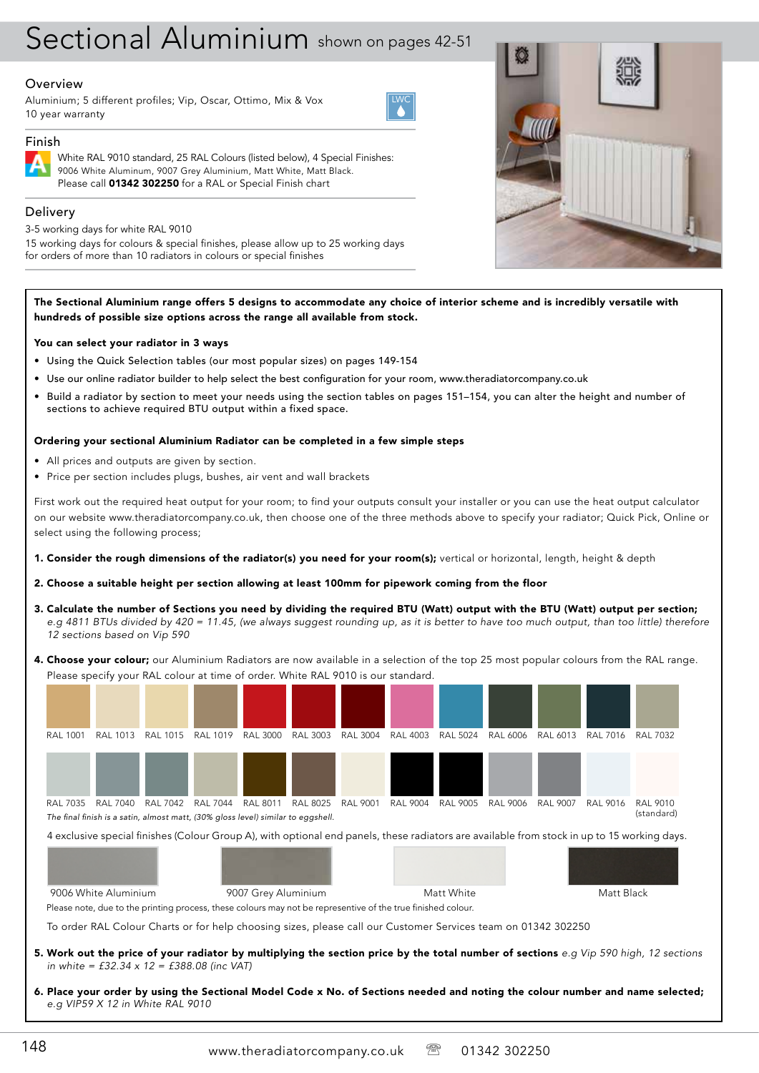# Sectional Aluminium shown on pages 42-51

## **Overview**

Aluminium; 5 different profiles; Vip, Oscar, Ottimo, Mix & Vox 10 year warranty



# Finish

White RAL 9010 standard, 25 RAL Colours (listed below), 4 Special Finishes: 9006 White Aluminum, 9007 Grey Aluminium, Matt White, Matt Black. Please call 01342 302250 for a RAL or Special Finish chart

# Delivery

3-5 working days for white RAL 9010

15 working days for colours & special finishes, please allow up to 25 working days for orders of more than 10 radiators in colours or special finishes



The Sectional Aluminium range offers 5 designs to accommodate any choice of interior scheme and is incredibly versatile with hundreds of possible size options across the range all available from stock.

## You can select your radiator in 3 ways

- • Using the Quick Selection tables (our most popular sizes) on pages 149-154
- • Use our online radiator builder to help select the best configuration for your room, www.theradiatorcompany.co.uk
- Build a radiator by section to meet your needs using the section tables on pages 151-154, you can alter the height and number of sections to achieve required BTU output within a fixed space.

## Ordering your sectional Aluminium Radiator can be completed in a few simple steps

- • All prices and outputs are given by section.
- Price per section includes plugs, bushes, air vent and wall brackets

First work out the required heat output for your room; to find your outputs consult your installer or you can use the heat output calculator on our website www.theradiatorcompany.co.uk, then choose one of the three methods above to specify your radiator; Quick Pick, Online or select using the following process;

1. Consider the rough dimensions of the radiator(s) you need for your room(s); vertical or horizontal, length, height & depth

## 2. Choose a suitable height per section allowing at least 100mm for pipework coming from the floor

- 3. Calculate the number of Sections you need by dividing the required BTU (Watt) output with the BTU (Watt) output per section; *e.g 4811 BTUs divided by 420 = 11.45, (we always suggest rounding up, as it is better to have too much output, than too little) therefore 12 sections based on Vip 590*
- 4. Choose your colour; our Aluminium Radiators are now available in a selection of the top 25 most popular colours from the RAL range. Please specify your RAL colour at time of order. White RAL 9010 is our standard.



- 5. Work out the price of your radiator by multiplying the section price by the total number of sections *e.g Vip 590 high, 12 sections in white = £32.34 x 12 = £388.08 (inc VAT)*
- 6. Place your order by using the Sectional Model Code x No. of Sections needed and noting the colour number and name selected; *e.g VIP59 X 12 in White RAL 9010*